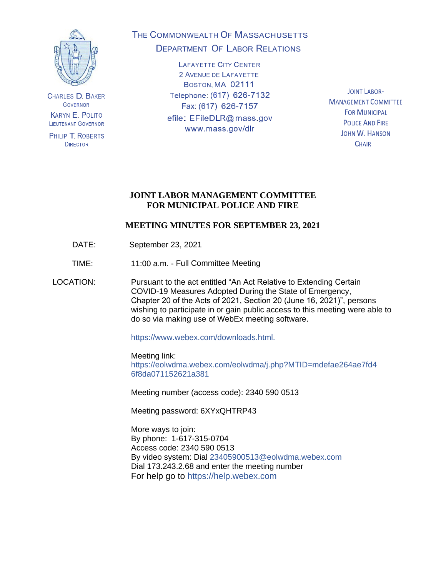

**CHARLES D. BAKER GOVERNOR KARYN E. POLITO LIEUTENANT GOVERNOR** 

PHILIP T. ROBERTS **DIRECTOR** 

# THE COMMONWEALTH OF MASSACHUSETTS **DEPARTMENT OF LABOR RELATIONS**

**LAFAYETTE CITY CENTER** 2 AVENUE DE LAFAYETTE BOSTON, MA 02111 Telephone: (617) 626-7132 Fax: (617) 626-7157 efile: EFileDLR@mass.gov www.mass.gov/dlr

**JOINT LABOR-MANAGEMENT COMMITTEE FOR MUNICIPAL POLICE AND FIRE JOHN W. HANSON CHAIR** 

# **JOINT LABOR MANAGEMENT COMMITTEE FOR MUNICIPAL POLICE AND FIRE**

# **MEETING MINUTES FOR SEPTEMBER 23, 2021**

- DATE: September 23, 2021
- TIME: 11:00 a.m. Full Committee Meeting

LOCATION: Pursuant to the act entitled "An Act Relative to Extending Certain COVID-19 Measures Adopted During the State of Emergency, Chapter 20 of the Acts of 2021, Section 20 (June 16, 2021)", persons wishing to participate in or gain public access to this meeting were able to do so via making use of WebEx meeting software.

https://www.webex.com/downloads.html.

Meeting link: https://eolwdma.webex.com/eolwdma/j.php?MTID=mdefae264ae7fd4 6f8da071152621a381

Meeting number (access code): 2340 590 0513

Meeting password: 6XYxQHTRP43

More ways to join: By phone: 1-617-315-0704 Access code: 2340 590 0513 By video system: Dial 23405900513@eolwdma.webex.com Dial 173.243.2.68 and enter the meeting number For help go to https://help.webex.com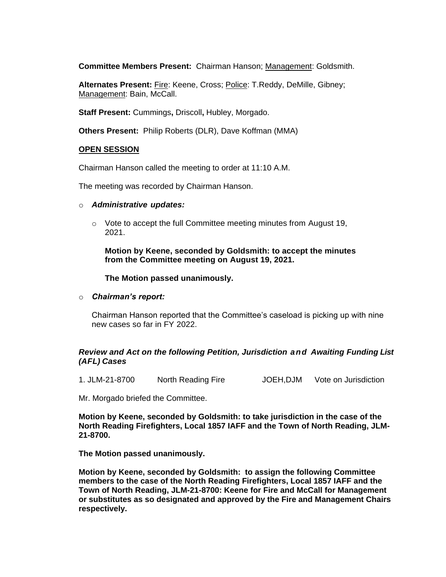**Committee Members Present:** Chairman Hanson; Management: Goldsmith.

**Alternates Present:** Fire: Keene, Cross; Police: T.Reddy, DeMille, Gibney; Management: Bain, McCall.

**Staff Present:** Cummings**,** Driscoll**,** Hubley, Morgado.

**Others Present:** Philip Roberts (DLR), Dave Koffman (MMA)

#### **OPEN SESSION**

Chairman Hanson called the meeting to order at 11:10 A.M.

The meeting was recorded by Chairman Hanson.

#### o *Administrative updates:*

 $\circ$  Vote to accept the full Committee meeting minutes from August 19, 2021.

**Motion by Keene, seconded by Goldsmith: to accept the minutes from the Committee meeting on August 19, 2021.**

#### **The Motion passed unanimously.**

o *Chairman's report:*

Chairman Hanson reported that the Committee's caseload is picking up with nine new cases so far in FY 2022.

## *Review and Act on the following Petition, Jurisdiction and Awaiting Funding List (AFL) Cases*

1. JLM-21-8700 North Reading Fire JOEH,DJM Vote on Jurisdiction

Mr. Morgado briefed the Committee.

**Motion by Keene, seconded by Goldsmith: to take jurisdiction in the case of the North Reading Firefighters, Local 1857 IAFF and the Town of North Reading, JLM-21-8700.**

**The Motion passed unanimously.**

**Motion by Keene, seconded by Goldsmith: to assign the following Committee members to the case of the North Reading Firefighters, Local 1857 IAFF and the Town of North Reading, JLM-21-8700: Keene for Fire and McCall for Management or substitutes as so designated and approved by the Fire and Management Chairs respectively.**